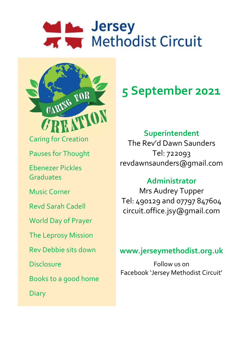# Marsey<br>
Methodist Circuit



# **5 September 2021**

# **Superintendent**

The Rev'd Dawn Saunders Tel: 722093 revdawnsaunders@gmail.com

# **Administrator**

Mrs Audrey Tupper Tel: 490129 and 07797 847604 circuit.office.jsy@gmail.com

# **www.jerseymethodist.org.uk**

Follow us on Facebook 'Jersey Methodist Circuit'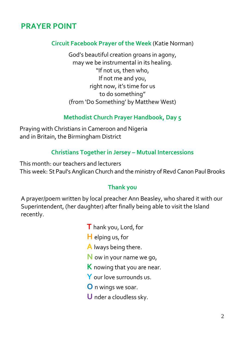# **PRAYER POINT**

#### **Circuit Facebook Prayer of the Week** (Katie Norman)

God's beautiful creation groans in agony, may we be instrumental in its healing. "If not us, then who, If not me and you, right now, it's time for us to do something" (from 'Do Something' by Matthew West)

#### **Methodist Church Prayer Handbook, Day 5**

Praying with Christians in Cameroon and Nigeria and in Britain, the Birmingham District

#### **Christians Together in Jersey – Mutual Intercessions**

This month: our teachers and lecturers This week: St Paul's Anglican Church and the ministry of Revd Canon Paul Brooks

#### **Thank you**

A prayer/poem written by local preacher Ann Beasley, who shared it with our Superintendent, (her daughter) after finally being able to visit the Island recently.

- **T** hank you, Lord, for
- **H** elping us, for
- **A** lways being there.
- **N** ow in your name we go,
- **K** nowing that you are near.
- **Y** our love surrounds us.
- **O** n wings we soar.
- **U** nder a cloudless sky.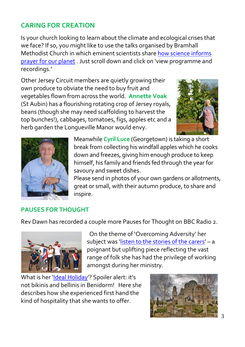# **CARING FOR CREATION**

Is your church looking to learn about the climate and ecological crises that we face? If so, you might like to use the talks organised by Bramhall Methodist Church in which eminent scientists share [how science informs](https://www.bramhallmethodists.org.uk/pfop)  [prayer for our planet](https://www.bramhallmethodists.org.uk/pfop) . Just scroll down and click on 'view programme and recordings.'

Other Jersey Circuit members are quietly growing their own produce to obviate the need to buy fruit and vegetables flown from across the world. **Annette Voak** (St Aubin) has a flourishing rotating crop of Jersey royals, beans (though she may need scaffolding to harvest the top bunches!), cabbages, tomatoes, figs, apples etc and a herb garden the Longueville Manor would envy.





Meanwhile **Cyril Luce** (Georgetown) is taking a short break from collecting his windfall apples which he cooks down and freezes, giving him enough produce to keep himself, his family and friends fed through the year for savoury and sweet dishes.

Please send in photos of your own gardens or allotments, great or small, with their autumn produce, to share and inspire.

#### **PAUSES FOR THOUGHT**

Rev Dawn has recorded a couple more Pauses for Thought on BBC Radio 2.



 On the theme of 'Overcoming Adversity' her subject was '[listen to the stories of the carers](https://www.bbc.co.uk/sounds/play/p09t1bp0)' - a poignant but uplifting piece reflecting the vast range of folk she has had the privilege of working amongst during her ministry.

What is her '[Ideal Holiday](https://www.bbc.co.uk/sounds/play/p09sfpr3?fbclid=IwAR3Jel3BT357XQm9R4AZbCowWt0tKiN2ffTpmPfq6f0KktJ81Rn3iCea7ew)'? Spoiler alert: it's not bikinis and bellinis in Benidorm! Here she describes how she experienced first hand the kind of hospitality that she wants to offer.

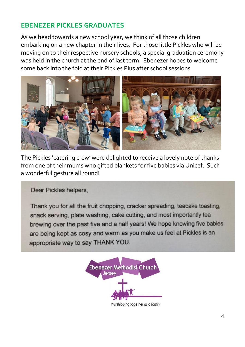#### **EBENEZER PICKLES GRADUATES**

As we head towards a new school year, we think of all those children embarking on a new chapter in their lives. For those little Pickles who will be moving on to their respective nursery schools, a special graduation ceremony was held in the church at the end of last term. Ebenezer hopes to welcome some back into the fold at their Pickles Plus after school sessions.



The Pickles 'catering crew' were delighted to receive a lovely note of thanks from one of their mums who gifted blankets for five babies via Unicef. Such a wonderful gesture all round!

Dear Pickles helpers,

Thank you for all the fruit chopping, cracker spreading, teacake toasting, snack serving, plate washing, cake cutting, and most importantly tea brewing over the past five and a half years! We hope knowing five babies are being kept as cosy and warm as you make us feel at Pickles is an appropriate way to say THANK YOU.

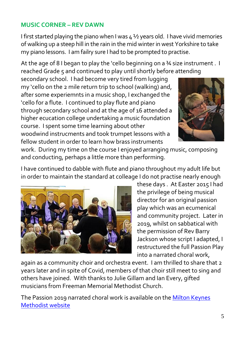#### **MUSIC CORNER – REV DAWN**

I first started playing the piano when I was 4 1/2 years old. I have vivid memories of walking up a steep hill in the rain in the mid winter in west Yorkshire to take my piano lessons. I am failry sure I had to be prompted to practise.

At the age of 8 I began to play the 'cello beginning on a 34 size instrument. I reached Grade 5 and continued to play until shortly before attending

secondary school. I had become very tired from lugging my 'cello on the 2 mile return trip to school (walking) and, after some experiemnts in a music shop, I exchanged the 'cello for a flute. I continued to play flute and piano through secondary school and at the age of 16 attended a higher ecucation college undertaking a music foundation course. I spent some time learning about other woodwind instrucments and took trumpet lessons with a fellow student in order to learn how brass instruments



work. During my time on the course I enjoyed arranging music, composing and conducting, perhaps a little more than performing.

I have continued to dabble with flute and piano throughout my adult life but in order to maintain the standard at colleage I do not practise nearly enough



these days . At Easter 2015 I had the privilege of being musical director for an original passion play which was an ecumenical and community project. Later in 2019, whilst on sabbatical with the permission of Rev Barry Jackson whose script I adapted, I restructured the full Passion Play into a narrated choral work,

again as a community choir and orchestra event. I am thrilled to share that 2 years later and in spite of Covid, members of that choir still meet to sing and others have joined. With thanks to Julie Gillam and Ian Every, gifted musicians from Freeman Memorial Methodist Church.

The Passion 2019 narrated choral work is available on th[e Milton Keynes](https://mkmethodist.org.uk/the-passion-2019/)  [Methodist website](https://mkmethodist.org.uk/the-passion-2019/)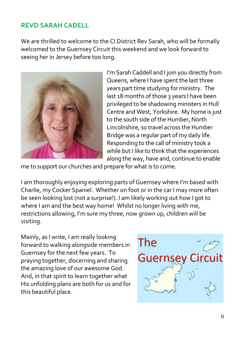#### **REVD SARAH CADELL**

We are thrilled to welcome to the CI District Rev Sarah, who will be formally welcomed to the Guernsey Circuit this weekend and we look forward to seeing her in Jersey before too long.



I'm Sarah Caddell and I join you directly from Queens, where I have spent the last three years part time studying for ministry. The last 18 months of those 3 years I have been privileged to be shadowing ministers in Hull Centre and West, Yorkshire. My home is just to the south side of the Humber, North Lincolnshire, so travel across the Humber Bridge was a regular part of my daily life. Responding to the call of ministry took a while but I like to think that the experiences along the way, have and, continue to enable

me to support our churches and prepare for what is to come.

I am thoroughly enjoying exploring parts of Guernsey where I'm based with Charlie, my Cocker Spaniel. Whether on foot or in the car I may more often be seen looking lost (not a surprise!). I am likely working out how I got to where I am and the best way home! Whilst no longer living with me, restrictions allowing, I'm sure my three, now grown up, children will be visiting.

Mainly, as I write, I am really looking forward to walking alongside members in Guernsey for the next few years. To praying together, discerning and sharing the amazing love of our awesome God. And, in that spirit to learn together what His unfolding plans are both for us and for this beautiful place.

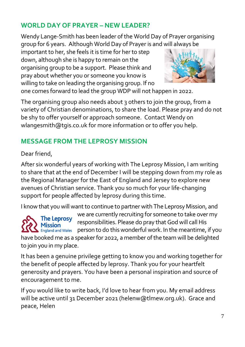## **WORLD DAY OF PRAYER – NEW LEADER?**

Wendy Lange-Smith has been leader of the World Day of Prayer organising group for 6 years. Although World Day of Prayer is and will always be

important to her, she feels it is time for her to step down, although she is happy to remain on the organising group to be a support. Please think and pray about whether you or someone you know is willing to take on leading the organising group. If no



one comes forward to lead the group WDP will not happen in 2022.

The organising group also needs about 3 others to join the group, from a variety of Christian denominations, to share the load. Please pray and do not be shy to offer yourself or approach someone. Contact Wendy on wlangesmith@tgis.co.uk for more information or to offer you help.

# **MESSAGE FROM THE LEPROSY MISSION**

Dear friend,

After six wonderful years of working with The Leprosy Mission, I am writing to share that at the end of December I will be stepping down from my role as the Regional Manager for the East of England and Jersey to explore new avenues of Christian service. Thank you so much for your life-changing support for people affected by leprosy during this time.

I know that you will want to continue to partner with The Leprosy Mission, and



we are currently recruiting for someone to take over my responsibilities. Please do pray that God will call His  $\sum$  England and Wales person to do this wonderful work. In the meantime, if you have booked me as a speaker for 2022, a member of the team will be delighted

to join you in my place.

It has been a genuine privilege getting to know you and working together for the benefit of people affected by leprosy. Thank you for your heartfelt generosity and prayers. You have been a personal inspiration and source of encouragement to me.

If you would like to write back, I'd love to hear from you. My email address will be active until 31 December 2021 (helenw@tlmew.org.uk). Grace and peace, Helen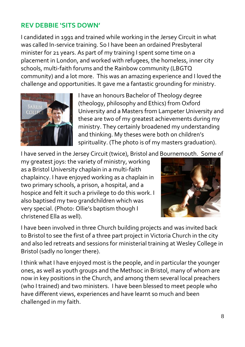#### **REV DEBBIE 'SITS DOWN'**

I candidated in 1991 and trained while working in the Jersey Circuit in what was called In-service training. So I have been an ordained Presbyteral minister for 21 years. As part of my training I spent some time on a placement in London, and worked with refugees, the homeless, inner city schools, multi-faith forums and the Rainbow community (LBGTQ community) and a lot more. This was an amazing experience and I loved the challenge and opportunities. It gave me a fantastic grounding for ministry.



I have an honours Bachelor of Theology degree (theology, philosophy and Ethics) from Oxford University and a Masters from Lampeter University and these are two of my greatest achievements during my ministry. They certainly broadened my understanding and thinking. My theses were both on children's spirituality. (The photo is of my masters graduation).

I have served in the Jersey Circuit (twice), Bristol and Bournemouth. Some of

my greatest joys: the variety of ministry, working as a Bristol University chaplain in a multi-faith chaplaincy. I have enjoyed working as a chaplain in two primary schools, a prison, a hospital, and a hospice and felt it such a privilege to do this work. I also baptised my two grandchildren which was very special. (Photo: Ollie's baptism though I christened Ella as well).



I have been involved in three Church building projects and was invited back to Bristol to see the first of a three part project in Victoria Church in the city and also led retreats and sessions for ministerial training at Wesley College in Bristol (sadly no longer there).

I think what I have enjoyed most is the people, and in particular the younger ones, as well as youth groups and the Methsoc in Bristol, many of whom are now in key positions in the Church, and among them several local preachers (who I trained) and two ministers. I have been blessed to meet people who have different views, experiences and have learnt so much and been challenged in my faith.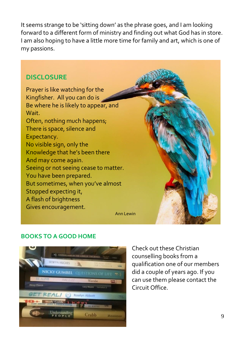It seems strange to be 'sitting down' as the phrase goes, and I am looking forward to a different form of ministry and finding out what God has in store. I am also hoping to have a little more time for family and art, which is one of my passions.

#### **DISCLOSURE**

Prayer is like watching for the Kingfisher. All you can do is Be where he is likely to appear, and Wait. Often, nothing much happens; There is space, silence and Expectancy. No visible sign, only the Knowledge that he's been there And may come again. Seeing or not seeing cease to matter. You have been prepared. But sometimes, when you've almost Stopped expecting it, A flash of brightness Gives encouragement.



#### **BOOKS TO A GOOD HOME**



Check out these Christian counselling books from a qualification one of our members did a couple of years ago. If you can use them please contact the Circuit Office.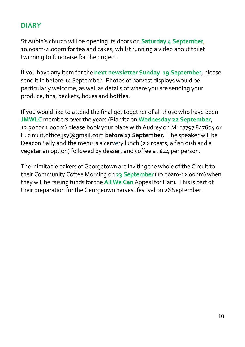#### **DIARY**

St Aubin's church will be opening its doors on **Saturday 4 September**, 10.00am-4.00pm for tea and cakes, whilst running a video about toilet twinning to fundraise for the project.

If you have any item for the **next newsletter Sunday 19 September**, please send it in before 14 September. Photos of harvest displays would be particularly welcome, as well as details of where you are sending your produce, tins, packets, boxes and bottles.

If you would like to attend the final get together of all those who have been **JMWLC** members over the years (Biarritz on **Wednesday 22 September**, 12.30 for 1.00pm) please book your place with Audrey on M: 07797 847604 or E: circuit.office.jsy@gmail.com **before 17 September.** The speaker will be Deacon Sally and the menu is a carvery lunch (2 x roasts, a fish dish and a vegetarian option) followed by dessert and coffee at £24 per person.

The inimitable bakers of Georgetown are inviting the whole of the Circuit to their Community Coffee Morning on **23 September**(10.00am-12.00pm) when they will be raising funds for the **All We Can** Appeal for Haiti. This is part of their preparation for the Georgeown harvest festival on 26 September.